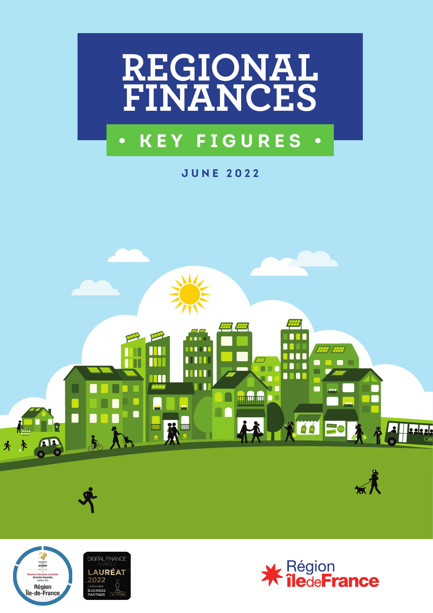

# **• KEY FIGURES •**

**JUNE 2022**





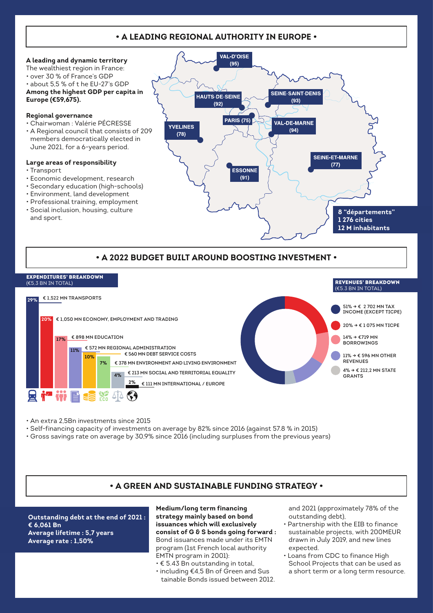# **• A LEADING REGIONAL AUTHORITY IN EUROPE •**





• An extra 2,5Bn investments since 2015

- Self-financing capacity of investments on average by 82% since 2016 (against 57.8 % in 2015)
- Gross savings rate on average by 30,9% since 2016 (including surpluses from the previous years)

## **• A GREEN AND SUSTAINABLE FUNDING STRATEGY •**

**Outstanding debt at the end of 2021 : € 6,061 Bn Average lifetime : 5,7 years Average rate : 1,50%** 

**Medium/long term financing strategy mainly based on bond issuances which will exclusively consist of G & S bonds going forward :** Bond issuances made under its EMTN program (1st French local authority EMTN program in 2001):

- € 5.43 Bn outstanding in total,
- including €4,5 Bn of Green and Sus tainable Bonds issued between 2012.

and 2021 (approximately 78% of the outstanding debt),

- Partnership with the EIB to finance sustainable projects, with 200MEUR drawn in July 2019, and new lines expected.
- Loans from CDC to finance High School Projects that can be used as a short term or a long term resource.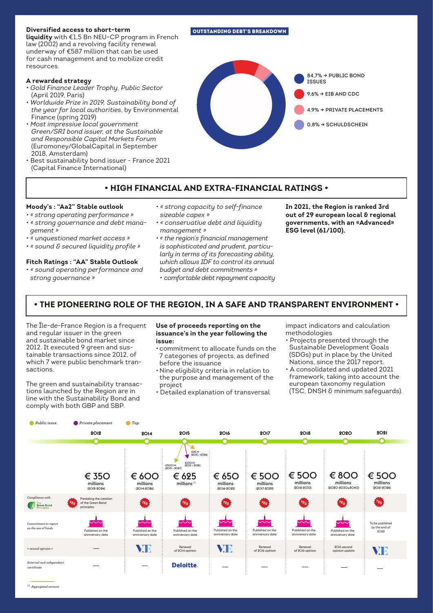## **Diversified access to short-term**

**liquidity** with €1,5 Bn NEU-CP program in French law (2002) and a revolving facility renewal underway of €587 million that can be used for cash management and to mobilize credit resources.

## **A rewarded strategy**

- *Gold Finance Leader Trophy, Public Sector* (April 2019, Paris)
- *Worldwide Prize in 2019, Sustainability bond of the year for local authorities*, by Environmental Finance (spring 2019)
- *Most impressive local government Green/SRI bond issuer, at the Sustainable and Responsible Capital Markets Forum* (Euromoney/GlobalCapital in September 2018, Amsterdam)
- Best sustainability bond issuer France 2021 (Capital Finance International)



**• HIGH FINANCIAL AND EXTRA-FINANCIAL RATINGS •**

- *« conservative debt and liquidity management »*
- **In 2021, the Region is ranked 3rd out of 29 european local & regional governments, with an «Advanced» ESG level (61/100).**

*gement »* 

**Moody's : "Aa2" Stable outlook**  *• « strong operating performance » • « strong governance and debt mana-*

- *« unquestioned market access »*
- *« sound & secured liquidity profile »*

#### **Fitch Ratings : "AA" Stable Outlook**

- *« sound operating performance and strong governance »*
- *« the region's financial management is sophisticated and prudent, particularly in terms of its forecasting ability, which allows IDF to control its annual budget and debt commitments » • comfortable debt repayment capacity*

**• THE PIONEERING ROLE OF THE REGION, IN A SAFE AND TRANSPARENT ENVIRONMENT •**

The Île-de-France Region is a frequent ine ite-de-France Region is a rrequent **ose or proceeds report**<br>and regular issuer in the green **bissuance's in the year f** and sustainable bond market since 2012. It executed 9 green and sustainable transactions since 2012, of which 7 were public benchmark transactions. **HISTORIQUE DES EMPRUNTS VERTS ET RESPONSABLES RÉALISÉS**

The green and sustainability transactions launched by the Region are in line with the Sustainability Bond and comply with both GBP and SBP.

#### **Use of proceeds reporting on the issuance's in the year following the issue:**

- commitment to allocate funds on the 7 categories of projects, as defined before the issuance
- Nine eligibility criteria in relation to the purpose and management of the project
- Detailed explanation of transversal

impact indicators and calculation methodologies

- Projects presented through the Sustainable Development Goals (SDGs) put in place by the United Nations, since the 2017 report.
- A consolidated and updated 2021 framework, taking into account the european taxonomy regulation (TSC, DNSH & minimum safeguards).



OUTSTANDING DEBT'S BREAKDOWN